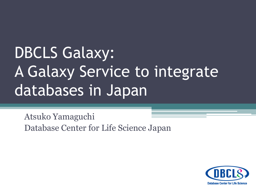## DBCLS Galaxy: A Galaxy Service to integrate databases in Japan

Atsuko Yamaguchi Database Center for Life Science Japan

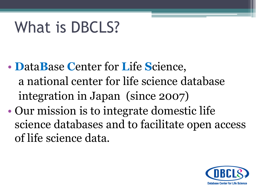## What is DBCLS?

- DataBase Center for Life Science, a national center for life science database integration in Japan (since 2007)
- Our mission is to integrate domestic life science databases and to facilitate open access of life science data.

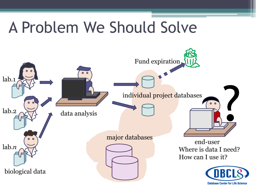## A Problem We Should Solve

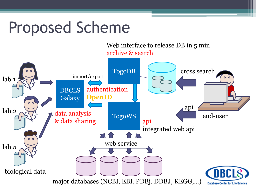## Proposed Scheme

Web interface to release DB in 5 min archive & search

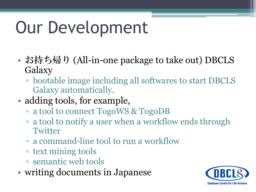# Our Development

- お持ち帰り (All-in-one package to take out) DBCLS Galaxy
	- bootable image including all softwares to start DBCLS Galaxy automatically.
- adding tools, for example,
	- a tool to connect TogoWS & TogoDB
	- a tool to notify a user when a workflow ends through **Twitter**
	- a command-line tool to run a workflow
	- text mining tools
	- semantic web tools
- writing documents in Japanese